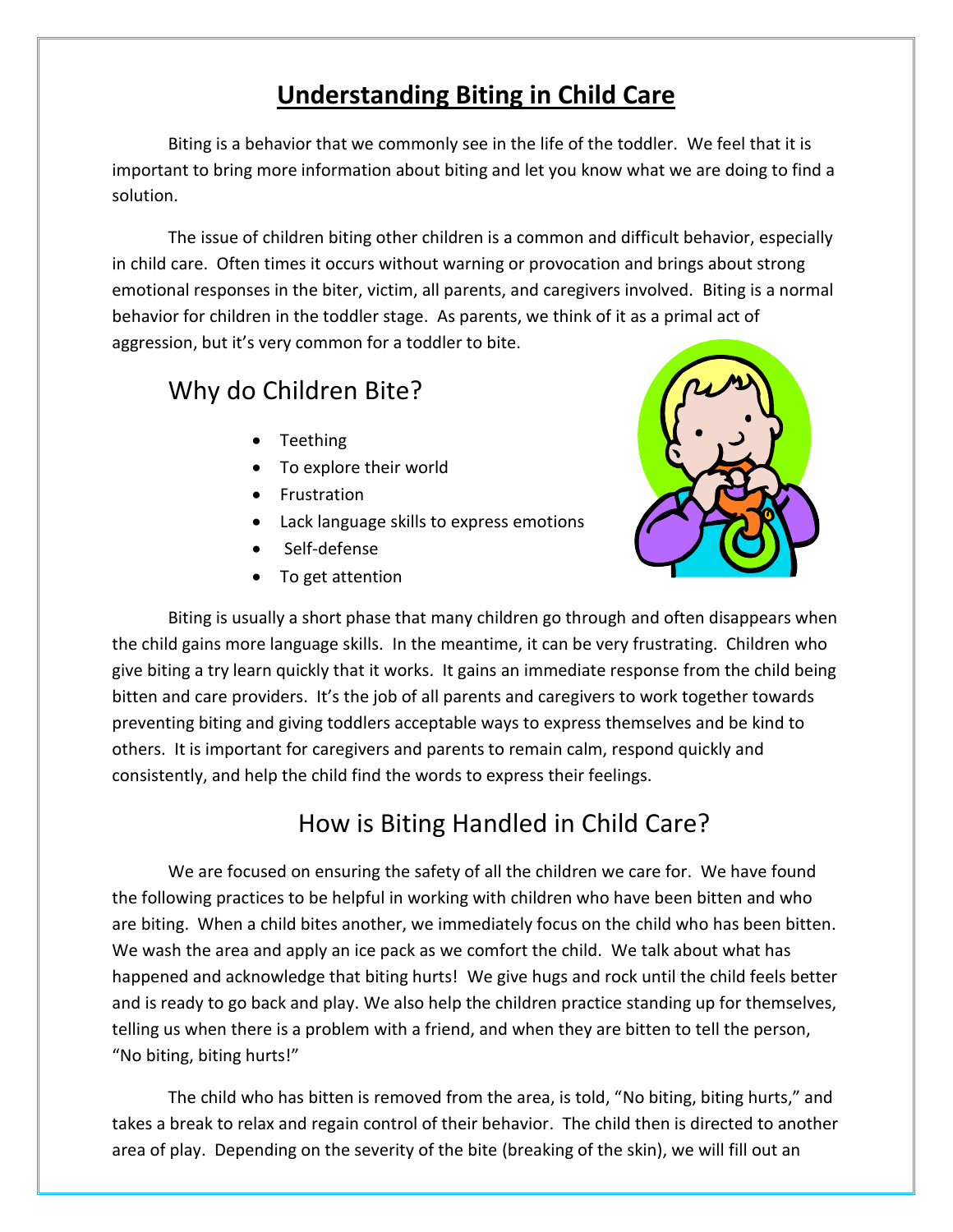## **Understanding Biting in Child Care**

Biting is a behavior that we commonly see in the life of the toddler. We feel that it is important to bring more information about biting and let you know what we are doing to find a solution.

The issue of children biting other children is a common and difficult behavior, especially in child care. Often times it occurs without warning or provocation and brings about strong emotional responses in the biter, victim, all parents, and caregivers involved. Biting is a normal behavior for children in the toddler stage. As parents, we think of it as a primal act of aggression, but it's very common for a toddler to bite.

## Why do Children Bite?

- Teething
- To explore their world
- **•** Frustration
- Lack language skills to express emotions
- Self-defense
- To get attention



Biting is usually a short phase that many children go through and often disappears when the child gains more language skills. In the meantime, it can be very frustrating. Children who give biting a try learn quickly that it works. It gains an immediate response from the child being bitten and care providers. It's the job of all parents and caregivers to work together towards preventing biting and giving toddlers acceptable ways to express themselves and be kind to others. It is important for caregivers and parents to remain calm, respond quickly and consistently, and help the child find the words to express their feelings.

## How is Biting Handled in Child Care?

We are focused on ensuring the safety of all the children we care for. We have found the following practices to be helpful in working with children who have been bitten and who are biting. When a child bites another, we immediately focus on the child who has been bitten. We wash the area and apply an ice pack as we comfort the child. We talk about what has happened and acknowledge that biting hurts! We give hugs and rock until the child feels better and is ready to go back and play. We also help the children practice standing up for themselves, telling us when there is a problem with a friend, and when they are bitten to tell the person, "No biting, biting hurts!"

The child who has bitten is removed from the area, is told, "No biting, biting hurts," and takes a break to relax and regain control of their behavior. The child then is directed to another area of play. Depending on the severity of the bite (breaking of the skin), we will fill out an